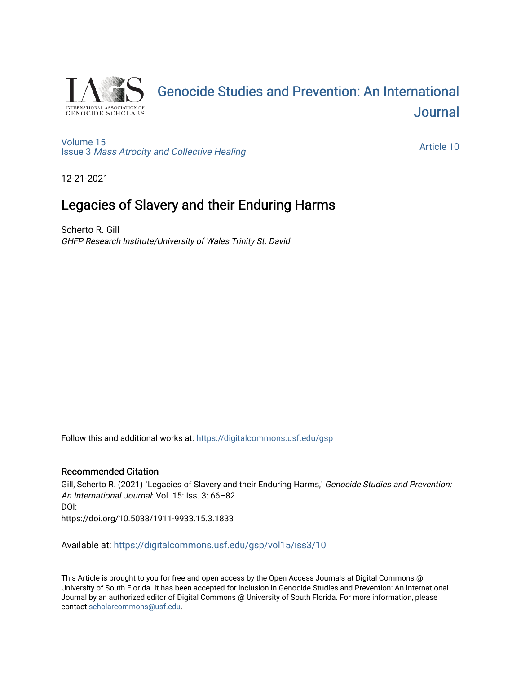

# [Genocide Studies and Prevention: An International](https://digitalcommons.usf.edu/gsp)  **Journal**

[Volume 15](https://digitalcommons.usf.edu/gsp/vol15) Issue 3 [Mass Atrocity and Collective Healing](https://digitalcommons.usf.edu/gsp/vol15/iss3) 

[Article 10](https://digitalcommons.usf.edu/gsp/vol15/iss3/10) 

12-21-2021

## Legacies of Slavery and their Enduring Harms

Scherto R. Gill GHFP Research Institute/University of Wales Trinity St. David

Follow this and additional works at: [https://digitalcommons.usf.edu/gsp](https://digitalcommons.usf.edu/gsp?utm_source=digitalcommons.usf.edu%2Fgsp%2Fvol15%2Fiss3%2F10&utm_medium=PDF&utm_campaign=PDFCoverPages) 

#### Recommended Citation

Gill, Scherto R. (2021) "Legacies of Slavery and their Enduring Harms," Genocide Studies and Prevention: An International Journal: Vol. 15: Iss. 3: 66–82. DOI: https://doi.org/10.5038/1911-9933.15.3.1833

Available at: [https://digitalcommons.usf.edu/gsp/vol15/iss3/10](https://digitalcommons.usf.edu/gsp/vol15/iss3/10?utm_source=digitalcommons.usf.edu%2Fgsp%2Fvol15%2Fiss3%2F10&utm_medium=PDF&utm_campaign=PDFCoverPages)

This Article is brought to you for free and open access by the Open Access Journals at Digital Commons @ University of South Florida. It has been accepted for inclusion in Genocide Studies and Prevention: An International Journal by an authorized editor of Digital Commons @ University of South Florida. For more information, please contact [scholarcommons@usf.edu](mailto:scholarcommons@usf.edu).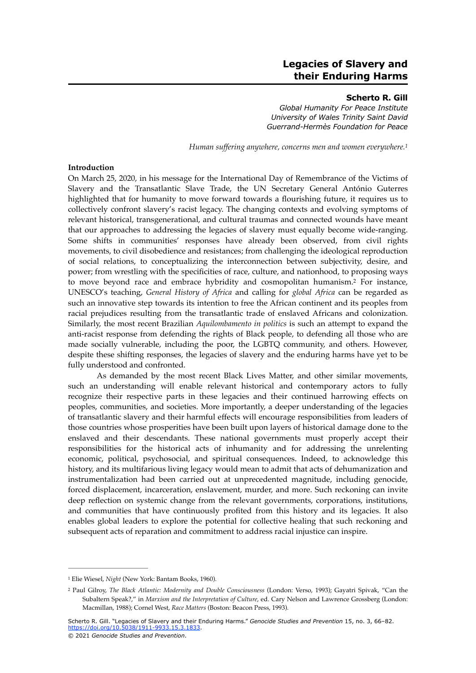### **Legacies of Slavery and their Enduring Harms**

#### <span id="page-1-3"></span><span id="page-1-2"></span>**Scherto R. Gill**

*Global Humanity For Peace Institute University of Wales Trinity Saint David Guerrand-Hermès Foundation for Peace*

*Human suffering anywhere, concerns men and women everywhere.[1](#page-1-0)*

#### **Introduction**

On March 25, 2020, in his message for the International Day of Remembrance of the Victims of Slavery and the Transatlantic Slave Trade, the UN Secretary General António Guterres highlighted that for humanity to move forward towards a flourishing future, it requires us to collectively confront slavery's racist legacy. The changing contexts and evolving symptoms of relevant historical, transgenerational, and cultural traumas and connected wounds have meant that our approaches to addressing the legacies of slavery must equally become wide-ranging. Some shifts in communities' responses have already been observed, from civil rights movements, to civil disobedience and resistances; from challenging the ideological reproduction of social relations, to conceptualizing the interconnection between subjectivity, desire, and power; from wrestling with the specificities of race, culture, and nationhood, to proposing ways to move beyond race and embrace hybridity and cosmopolitan humanism[.](#page-1-1)<sup>[2](#page-1-1)</sup> For instance, UNESCO's teaching, *General History of Africa* and calling for *global Africa* can be regarded as such an innovative step towards its intention to free the African continent and its peoples from racial prejudices resulting from the transatlantic trade of enslaved Africans and colonization. Similarly, the most recent Brazilian *Aquilombamento in politics* is such an attempt to expand the anti-racist response from defending the rights of Black people, to defending all those who are made socially vulnerable, including the poor, the LGBTQ community, and others. However, despite these shifting responses, the legacies of slavery and the enduring harms have yet to be fully understood and confronted.

As demanded by the most recent Black Lives Matter, and other similar movements, such an understanding will enable relevant historical and contemporary actors to fully recognize their respective parts in these legacies and their continued harrowing effects on peoples, communities, and societies. More importantly, a deeper understanding of the legacies of transatlantic slavery and their harmful effects will encourage responsibilities from leaders of those countries whose prosperities have been built upon layers of historical damage done to the enslaved and their descendants. These national governments must properly accept their responsibilities for the historical acts of inhumanity and for addressing the unrelenting economic, political, psychosocial, and spiritual consequences. Indeed, to acknowledge this history, and its multifarious living legacy would mean to admit that acts of dehumanization and instrumentalization had been carried out at unprecedented magnitude, including genocide, forced displacement, incarceration, enslavement, murder, and more. Such reckoning can invite deep reflection on systemic change from the relevant governments, corporations, institutions, and communities that have continuously profited from this history and its legacies. It also enables global leaders to explore the potential for collective healing that such reckoning and subsequent acts of reparation and commitment to address racial injustice can inspire.

<span id="page-1-0"></span><sup>&</sup>lt;sup>[1](#page-1-2)</sup> Elie Wiesel, *Night* (New York: Bantam Books, 1960).

<span id="page-1-1"></span><sup>&</sup>lt;sup>[2](#page-1-3)</sup> Paul Gilroy, *The Black Atlantic: Modernity and Double Consciousness* (London: Verso, 1993); Gayatri Spivak, "Can the Subaltern Speak?," in *Marxism and the Interpretation of Culture*, ed. Cary Nelson and Lawrence Grossberg (London: Macmillan, 1988); Cornel West, *Race Matters* (Boston: Beacon Press, 1993).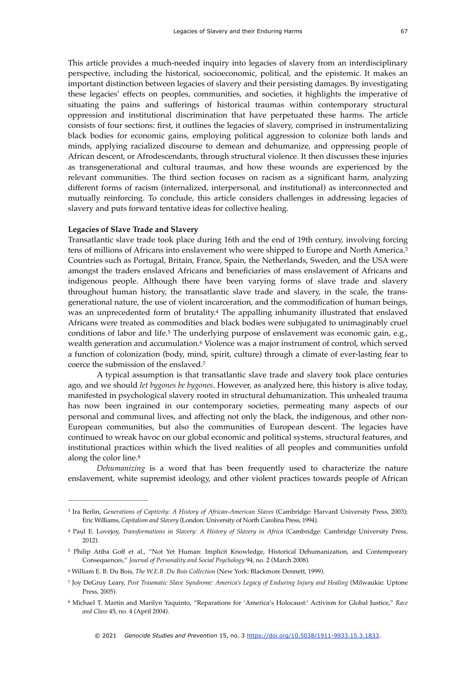This article provides a much-needed inquiry into legacies of slavery from an interdisciplinary perspective, including the historical, socioeconomic, political, and the epistemic. It makes an important distinction between legacies of slavery and their persisting damages. By investigating these legacies' effects on peoples, communities, and societies, it highlights the imperative of situating the pains and sufferings of historical traumas within contemporary structural oppression and institutional discrimination that have perpetuated these harms. The article consists of four sections: first, it outlines the legacies of slavery, comprised in instrumentalizing black bodies for economic gains, employing political aggression to colonize both lands and minds, applying racialized discourse to demean and dehumanize, and oppressing people of African descent, or Afrodescendants, through structural violence. It then discusses these injuries as transgenerational and cultural traumas, and how these wounds are experienced by the relevant communities. The third section focuses on racism as a significant harm, analyzing different forms of racism (internalized, interpersonal, and institutional) as interconnected and mutually reinforcing. To conclude, this article considers challenges in addressing legacies of slavery and puts forward tentative ideas for collective healing.

#### **Legacies of Slave Trade and Slavery**

<span id="page-2-6"></span>Transatlantic slave trade took place during 16th and the end of 19th century, involving forcing tens of millions of Africans into enslavement who were shipped to Europe and North America.<sup>[3](#page-2-0)</sup> Countries such as Portugal, Britain, France, Spain, the Netherlands, Sweden, and the USA were amongst the traders enslaved Africans and beneficiaries of mass enslavement of Africans and indigenous people. Although there have been varying forms of slave trade and slavery throughout human history, the transatlantic slave trade and slavery, in the scale, the transgenerational nature, the use of violent incarceration, and the commodification of human beings, was an unprecedented form of brutality[.](#page-2-1)<sup>[4](#page-2-1)</sup> The appalling inhumanity illustrated that enslaved Africans were treated as commodities and black bodies were subjugated to unimaginably cruel conditions of labor and life.<sup>[5](#page-2-2)</sup> The underlying purpose of enslavement was economic gain, e.g., wealth generation and accumulation.<sup>[6](#page-2-3)</sup> Violence was a major instrument of control, which served a function of colonization (body, mind, spirit, culture) through a climate of ever-lasting fear to coerce the submission of the enslaved.[7](#page-2-4)

<span id="page-2-10"></span><span id="page-2-9"></span><span id="page-2-8"></span><span id="page-2-7"></span>A typical assumption is that transatlantic slave trade and slavery took place centuries ago, and we should *let bygones be bygones*. However, as analyzed here, this history is alive today, manifested in psychological slavery rooted in structural dehumanization. This unhealed trauma has now been ingrained in our contemporary societies, permeating many aspects of our personal and communal lives, and affecting not only the black, the indigenous, and other non-European communities, but also the communities of European descent. The legacies have continued to wreak havoc on our global economic and political systems, structural features, and institutional practices within which the lived realities of all peoples and communities unfold along the color line.<sup>8</sup>

<span id="page-2-11"></span>*Dehumanizing* is a word that has been frequently used to characterize the nature enslavement, white supremist ideology, and other violent practices towards people of African

<span id="page-2-0"></span><sup>&</sup>lt;sup>[3](#page-2-6)</sup> Ira Berlin, *Generations of Captivity: A History of African-American Slaves* (Cambridge: Harvard University Press, 2003); Eric Williams, *Capitalism and Slavery* (London: University of North Carolina Press, 1994).

<span id="page-2-1"></span>Paul E. Lovejoy, *Transformations in Slavery: A History of Slavery in Africa* (Cambridge: Cambridge University Press, [4](#page-2-7) 2012).

<span id="page-2-2"></span><sup>&</sup>lt;sup>5</sup>Philip Atiba Goff et al., "Not Yet Human: Implicit Knowledge, Historical Dehumanization, and Contemporary Consequences," *Journal of Personality and Social Psychology* 94, no. 2 (March 2008).

<span id="page-2-3"></span>William E. B. Du Bois, *The W.E.B. Du Bois Collection* (New York: Blackmore Dennett, 1999). [6](#page-2-9)

<span id="page-2-4"></span><sup>&</sup>lt;sup>[7](#page-2-10)</sup> Joy DeGruy Leary, Post Traumatic Slave Syndrome: America's Legacy of Enduring Injury and Healing (Milwaukie: Uptone Press, 2005).

<span id="page-2-5"></span>Michael T. Martin and Marilyn Yaquinto, "Reparations for 'America's Holocaust:' Activism for Global Justice," *Race* [8](#page-2-11) *and Class* 45, no. 4 (April 2004).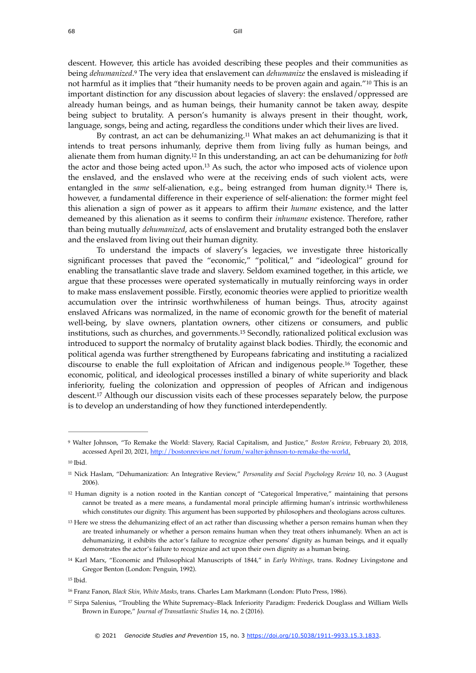<span id="page-3-10"></span><span id="page-3-9"></span>descent. However, this article has avoided describing these peoples and their communities as being *dehumanized*[.](#page-3-0)<sup>9</sup> The very idea that enslavement can *dehumanize* the enslaved is misleading if not harmful as it implies that "their humanity needs to be proven again and again."<sup>[10](#page-3-1)</sup> This is an important distinction for any discussion about legacies of slavery: the enslaved/oppressed are already human beings, and as human beings, their humanity cannot be taken away, despite being subject to brutality. A person's humanity is always present in their thought, work, language, songs, being and acting, regardless the conditions under which their lives are lived.

<span id="page-3-14"></span><span id="page-3-13"></span><span id="page-3-12"></span><span id="page-3-11"></span>By contrast, an act can be dehumanizing.<sup>[11](#page-3-2)</sup> What makes an act dehumanizing is that it intends to treat persons inhumanly, deprive them from living fully as human beings, and alienate them from human dignity[.](#page-3-3)<sup>12</sup> In this understanding, an act can be dehumanizing for *both* the actor and those being acted upon.<sup>[13](#page-3-4)</sup> As such, the actor who imposed acts of violence upon the enslaved, and the enslaved who were at the receiving ends of such violent acts, were entangled in the *same* self-alienation, e.g., being estranged from human dignity.<sup>[14](#page-3-5)</sup> There is, however, a fundamental difference in their experience of self-alienation: the former might feel this alienation a sign of power as it appears to affirm their *humane* existence, and the latter demeaned by this alienation as it seems to confirm their *inhumane* existence. Therefore, rather than being mutually *dehumanized*, acts of enslavement and brutality estranged both the enslaver and the enslaved from living out their human dignity.

<span id="page-3-15"></span>To understand the impacts of slavery's legacies, we investigate three historically significant processes that paved the "economic," "political," and "ideological" ground for enabling the transatlantic slave trade and slavery. Seldom examined together, in this article, we argue that these processes were operated systematically in mutually reinforcing ways in order to make mass enslavement possible. Firstly, economic theories were applied to prioritize wealth accumulation over the intrinsic worthwhileness of human beings. Thus, atrocity against enslaved Africans was normalized, in the name of economic growth for the benefit of material well-being, by slave owners, plantation owners, other citizens or consumers, and public institutions, such as churches, and governments.<sup>[15](#page-3-6)</sup> Secondly, rationalized political exclusion was introduced to support the normalcy of brutality against black bodies. Thirdly, the economic and political agenda was further strengthened by Europeans fabricating and instituting a racialized discourse to enable the full exploitation of African and indigenous people.<sup>[16](#page-3-7)</sup> Together, these economic, political, and ideological processes instilled a binary of white superiority and black inferiority, fueling the colonization and oppression of peoples of African and indigenous descent.<sup>17</sup>Although our discussion visits each of these processes separately below, the purpose is to develop an understanding of how they functioned interdependently.

<span id="page-3-5"></span><sup>[14](#page-3-14)</sup> Karl Marx, "Economic and Philosophical Manuscripts of 1844," in *Early Writings, trans. Rodney Livingstone and* Gregor Benton (London: Penguin, 1992).

<span id="page-3-17"></span><span id="page-3-16"></span><span id="page-3-0"></span>Walter Johnson, "To Remake the World: Slavery, Racial Capitalism, and Justice," *Boston Review*, February 20, 2018, [9](#page-3-9) accessed April 20, 2021,<http://bostonreview.net/forum/walter-johnson-to-remake-the-world>.

<span id="page-3-1"></span> $10$  Ihid.

<span id="page-3-2"></span><sup>&</sup>lt;sup>[11](#page-3-11)</sup> Nick Haslam, "Dehumanization: An Integrative Review," Personality and Social Psychology Review 10, no. 3 (August 2006).

<span id="page-3-3"></span> $12$  Human dignity is a notion rooted in the Kantian concept of "Categorical Imperative," maintaining that persons cannot be treated as a mere means, a fundamental moral principle affirming human's intrinsic worthwhileness which constitutes our dignity. This argument has been supported by philosophers and theologians across cultures.

<span id="page-3-4"></span><sup>&</sup>lt;sup>[13](#page-3-13)</sup> Here we stress the dehumanizing effect of an act rather than discussing whether a person remains human when they are treated inhumanely or whether a person remains human when they treat others inhumanely. When an act is dehumanizing, it exhibits the actor's failure to recognize other persons' dignity as human beings, and it equally demonstrates the actor's failure to recognize and act upon their own dignity as a human being.

<span id="page-3-6"></span> $15$  Ibid.

<span id="page-3-7"></span>Franz Fanon, *Black Skin, White Masks*, trans. Charles Lam Markmann (London: Pluto Press, 1986). [16](#page-3-16)

<span id="page-3-8"></span><sup>&</sup>lt;sup>[17](#page-3-17)</sup> Sirpa Salenius, "Troubling the White Supremacy–Black Inferiority Paradigm: Frederick Douglass and William Wells Brown in Europe," *Journal of Transatlantic Studies* 14, no. 2 (2016).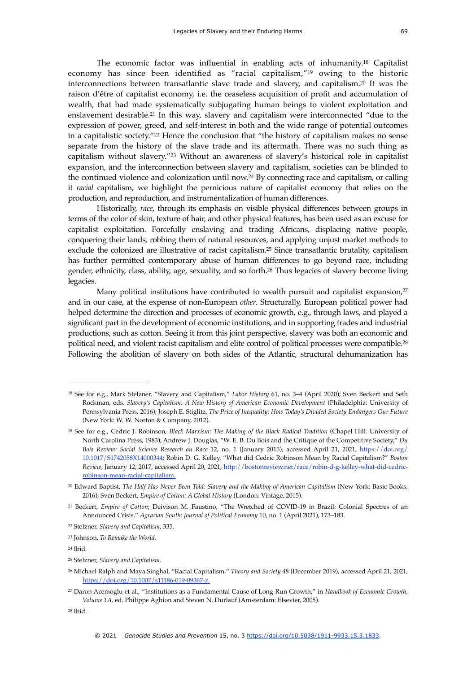<span id="page-4-15"></span><span id="page-4-14"></span><span id="page-4-13"></span><span id="page-4-12"></span><span id="page-4-11"></span>The economic factor was influential in enabling acts of inhumanity[.](#page-4-0)<sup>[18](#page-4-0)</sup> Capitalist economy has since been identified as "racial capitalism," $19$  owing to the historic interconnections between transatlantic slave trade and slavery, and capitalism. $20$  It was the raison d'être of capitalist economy, i.e. the ceaseless acquisition of profit and accumulation of wealth, that had made systematically subjugating human beings to violent exploitation and enslavement desirable.<sup>[21](#page-4-3)</sup> In this way, slavery and capitalism were interconnected "due to the expression of power, greed, and self-interest in both and the wide range of potential outcomes ina capitalistic society."<sup>[22](#page-4-4)</sup> Hence the conclusion that "the history of capitalism makes no sense separate from the history of the slave trade and its aftermath. There was no such thing as capitalism without slavery."<sup>[23](#page-4-5)</sup> Without an awareness of slavery's historical role in capitalist expansion, and the interconnection between slavery and capitalism, societies can be blinded to the continued violence and colonization until now.<sup>[24](#page-4-6)</sup> By connecting race and capitalism, or calling it *racial* capitalism, we highlight the pernicious nature of capitalist economy that relies on the production, and reproduction, and instrumentalization of human differences.

<span id="page-4-18"></span><span id="page-4-17"></span><span id="page-4-16"></span>Historically, *race*, through its emphasis on visible physical differences between groups in terms of the color of skin, texture of hair, and other physical features, has been used as an excuse for capitalist exploitation. Forcefully enslaving and trading Africans, displacing native people, conquering their lands, robbing them of natural resources, and applying unjust market methods to exclude the colonized are illustrative of racist capitalism.<sup>[25](#page-4-7)</sup> Since transatlantic brutality, capitalism has further permitted contemporary abuse of human differences to go beyond race, including gender, ethnicity, class, ability, age, sexuality, and so forth.<sup>[26](#page-4-8)</sup> Thus legacies of slavery become living legacies.

<span id="page-4-21"></span><span id="page-4-20"></span><span id="page-4-19"></span>Many political institutions have contributed to wealth pursuit and capitalist expansion,<sup>[27](#page-4-9)</sup> and in our case, at the expense of non-European *other*. Structurally, European political power had helped determine the direction and processes of economic growth, e.g., through laws, and played a significant part in the development of economic institutions, and in supporting trades and industrial productions, such as cotton. Seeing it from this joint perspective, slavery was both an economic and political need, and violent racist capitalism and elite control of political processes were compatible.<sup>[28](#page-4-10)</sup> Following the abolition of slavery on both sides of the Atlantic, structural dehumanization has

<span id="page-4-10"></span> $28$  Ibid.

<span id="page-4-0"></span><sup>&</sup>lt;sup>[18](#page-4-11)</sup> See for e.g., Mark Stelzner, "Slavery and Capitalism," *Labor History* 61, no. 3-4 (April 2020); Sven Beckert and Seth Rockman, eds. *Slavery's Capitalism: A New History of American Economic Development* (Philadelphia: University of Pennsylvania Press, 2016); Joseph E. Stiglitz, *The Price of Inequality: How Today's Divided Society Endangers Our Future* (New York: W. W. Norton & Company, 2012).

<span id="page-4-1"></span><sup>&</sup>lt;sup>[19](#page-4-12)</sup> See for e.g., Cedric J. Robinson, *Black Marxism: The Making of the Black Radical Tradition* (Chapel Hill: University of North Carolina Press, 1983); Andrew J. Douglas, "W. E. B. Du Bois and the Critique of the Competitive Society," *Du Bois Review: Social Science Research on Race* 12, no. 1 (January 2015), accessed April 21, 2021, [https://doi.org/](https://doi.org/10.1017/S1742058X14000344%22%20%5Ct%20%22_blank) [10.1017/S1742058X14000344;](https://doi.org/10.1017/S1742058X14000344%22%20%5Ct%20%22_blank) Robin D. G. Kelley, "What did Cedric Robinson Mean by Racial Capitalism?" *Boston Review*, January 12, 2017, accessed April 20, 2021, [http://bostonreview.net/race/robin-d-g-kelley-what-did-cedric](http://bostonreview.net/race/robin-d-g-kelley-what-did-cedric-robinson-mean-racial-capitalism)[robinson-mean-racial-capitalism.](http://bostonreview.net/race/robin-d-g-kelley-what-did-cedric-robinson-mean-racial-capitalism)

<span id="page-4-2"></span><sup>&</sup>lt;sup>[20](#page-4-13)</sup> Edward Baptist, *The Half Has Never Been Told: Slavery and the Making of American Capitalism* (New York: Basic Books, 2016); Sven Beckert, *Empire of Cotton: A Global History* (London: Vintage, 2015).

<span id="page-4-3"></span><sup>&</sup>lt;sup>[21](#page-4-14)</sup> Beckert, *Empire of Cotton*; Deivison M. Faustino, "The Wretched of COVID-19 in Brazil: Colonial Spectres of an Announced Crisis." *Agrarian South: Journal of Political Economy* 10, no. 1 (April 2021), 173–183.

<span id="page-4-4"></span>Stelzner, *Slavery and Capitalism*, 335. [22](#page-4-15)

<span id="page-4-5"></span><sup>&</sup>lt;sup>[23](#page-4-16)</sup> Johnson, *To Remake the World*.

<span id="page-4-6"></span> $24$  Ibid.

<span id="page-4-7"></span><sup>&</sup>lt;sup>[25](#page-4-18)</sup> Stelzner, *Slavery and Capitalism*.

<span id="page-4-8"></span><sup>&</sup>lt;sup>[26](#page-4-19)</sup> Michael Ralph and Maya Singhal, "Racial Capitalism," *Theory and Society* 48 (December 2019), accessed April 21, 2021, [https://doi.org/10.1007/s11186-019-09367-z.](https://doi.org/10.1007/s11186-019-09367-z)

<span id="page-4-9"></span>Daron Acemoglu et al., "Institutions as a Fundamental Cause of Long-Run Growth," in *Handbook of Economic Growth,* [27](#page-4-20) *Volume 1A*, ed. Philippe Aghion and Steven N. Durlauf (Amsterdam: Elsevier, 2005).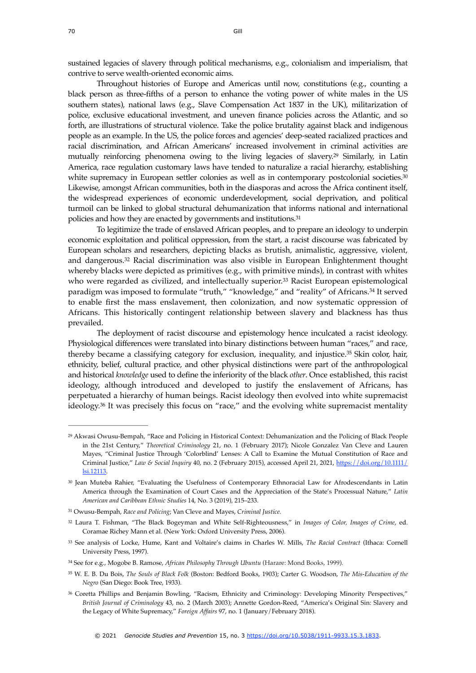sustained legacies of slavery through political mechanisms, e.g., colonialism and imperialism, that contrive to serve wealth-oriented economic aims.

<span id="page-5-8"></span>Throughout histories of Europe and Americas until now, constitutions (e.g., counting a black person as three-fifths of a person to enhance the voting power of white males in the US southern states), national laws (e.g., Slave Compensation Act 1837 in the UK), militarization of police, exclusive educational investment, and uneven finance policies across the Atlantic, and so forth, are illustrations of structural violence. Take the police brutality against black and indigenous people as an example. In the US, the police forces and agencies' deep-seated racialized practices and racial discrimination, and African Americans' increased involvement in criminal activities are mutually reinforcing phenomena owing to the living legacies of slavery[.](#page-5-0)<sup>[29](#page-5-0)</sup> Similarly, in Latin America, race regulation customary laws have tended to naturalize a racial hierarchy, establishing white supremacy in European settler colonies as well as in contemporary postcolonial societies.<sup>[30](#page-5-1)</sup> Likewise, amongst African communities, both in the diasporas and across the Africa continent itself, the widespread experiences of economic underdevelopment, social deprivation, and political turmoil can be linked to global structural dehumanization that informs national and international policies and how they are enacted by governments and institutions.<sup>31</sup>

<span id="page-5-12"></span><span id="page-5-11"></span><span id="page-5-10"></span><span id="page-5-9"></span>To legitimize the trade of enslaved African peoples, and to prepare an ideology to underpin economic exploitation and political oppression, from the start, a racist discourse was fabricated by European scholars and researchers, depicting blacks as brutish, animalistic, aggressive, violent, and dangerous.<sup>[32](#page-5-3)</sup> Racial discrimination was also visible in European Enlightenment thought whereby blacks were depicted as primitives (e.g., with primitive minds), in contrast with whites who were regarded as civilized, and intellectually superior.<sup>[33](#page-5-4)</sup> Racist European epistemological paradigm was imposed to formulate "truth," "knowledge," and "reality" of Africans.<sup>[34](#page-5-5)</sup> It served to enable first the mass enslavement, then colonization, and now systematic oppression of Africans. This historically contingent relationship between slavery and blackness has thus prevailed.

<span id="page-5-14"></span><span id="page-5-13"></span>The deployment of racist discourse and epistemology hence inculcated a racist ideology. Physiological differences were translated into binary distinctions between human "races," and race, therebybecame a classifying category for exclusion, inequality, and injustice.<sup>[35](#page-5-6)</sup> Skin color, hair, ethnicity, belief, cultural practice, and other physical distinctions were part of the anthropological and historical *knowledge* used to define the inferiority of the black *other*. Once established, this racist ideology, although introduced and developed to justify the enslavement of Africans, has perpetuated a hierarchy of human beings. Racist ideology then evolved into white supremacist ideology.<sup>[36](#page-5-7)</sup> It was precisely this focus on "race," and the evolving white supremacist mentality

<span id="page-5-15"></span><span id="page-5-0"></span><sup>&</sup>lt;sup>[29](#page-5-8)</sup> Akwasi Owusu-Bempah, "Race and Policing in Historical Context: Dehumanization and the Policing of Black People in the 21st Century," *Theoretical Criminology* 21, no. 1 (February 2017); Nicole Gonzalez Van Cleve and Lauren Mayes, "Criminal Justice Through 'Colorblind' Lenses: A Call to Examine the Mutual Constitution of Race and Criminal Justice," *Law & Social Inquiry* 40, no. 2 (February 2015), accessed April 21, 2021, [https://doi.org/10.1111/](https://doi.org/10.1111/lsi.12113) [lsi.12113.](https://doi.org/10.1111/lsi.12113)

<span id="page-5-1"></span>[<sup>30</sup>](#page-5-9) Jean Muteba Rahier, "Evaluating the Usefulness of Contemporary Ethnoracial Law for Afrodescendants in Latin America through the Examination of Court Cases and the Appreciation of the State's Processual Nature," *Latin American and Caribbean Ethnic Studies* 14, No. 3 (2019), 215–233.

<span id="page-5-2"></span>Owusu-Bempah, *Race and Policing*; Van Cleve and Mayes, *Criminal Justice*. [31](#page-5-10)

<span id="page-5-3"></span>Laura T. Fishman, "The Black Bogeyman and White Self-Righteousness," in *Images of Color, Images of Crime*, ed. [32](#page-5-11) Coramae Richey Mann et al. (New York: Oxford University Press, 2006).

<span id="page-5-4"></span>See analysis of Locke, Hume, Kant and Voltaire's claims in Charles W. Mills, *The Racial Contract* (Ithaca: Cornell [33](#page-5-12) University Press, 1997).

<span id="page-5-5"></span><sup>&</sup>lt;sup>[34](#page-5-13)</sup> See for e.g., Mogobe B. Ramose, *African Philosophy Through Ubuntu* (Harare: Mond Books, 1999).

<span id="page-5-6"></span>W. E. B. Du Bois, *The Souls of Black Folk* (Boston: Bedford Books, 1903); Carter G. Woodson, *The Mis-Education of the* [35](#page-5-14) *Negro* (San Diego: Book Tree, 1933).

<span id="page-5-7"></span>Coretta Phillips and Benjamin Bowling, "Racism, Ethnicity and Criminology: Developing Minority Perspectives," [36](#page-5-15) *British Journal of Criminology* 43, no. 2 (March 2003); Annette Gordon-Reed, "America's Original Sin: Slavery and the Legacy of White Supremacy," *Foreign Affairs* 97, no. 1 (January/February 2018).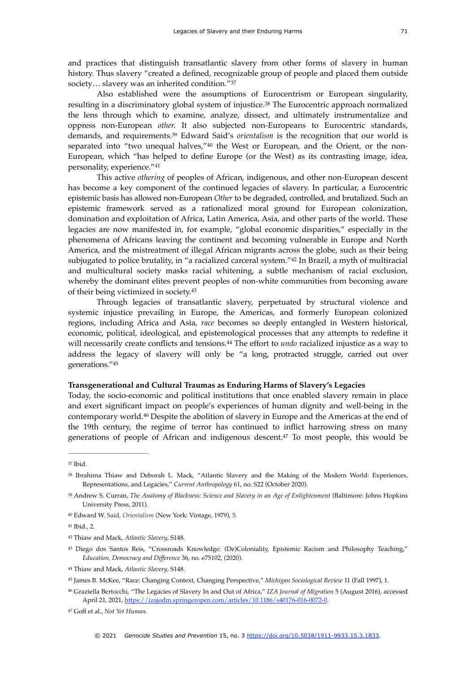and practices that distinguish transatlantic slavery from other forms of slavery in human history. Thus slavery "created a defined, recognizable group of people and placed them outside society… slavery was an inherited condition."[37](#page-6-0)

<span id="page-6-13"></span><span id="page-6-12"></span><span id="page-6-11"></span>Also established were the assumptions of Eurocentrism or European singularity, resulting in a discriminatory global system of injustice.<sup>[38](#page-6-1)</sup> The Eurocentric approach normalized the lens through which to examine, analyze, dissect, and ultimately instrumentalize and oppress non-European *other.* It also subjected non-Europeans to Eurocentric standards, demands, and requirements.<sup>39</sup> Edward Said's *orientalism* is the recognition that our world is separated into "two unequal halves," $40$  the West or European, and the Orient, or the non-European, which "has helped to define Europe (or the West) as its contrasting image, idea, personality, experience."[41](#page-6-4)

<span id="page-6-15"></span><span id="page-6-14"></span>This active *othering* of peoples of African, indigenous, and other non-European descent has become a key component of the continued legacies of slavery. In particular, a Eurocentric epistemic basis has allowed non-European *Other* to be degraded, controlled, and brutalized. Such an epistemic framework served as a rationalized moral ground for European colonization, domination and exploitation of Africa, Latin America, Asia, and other parts of the world. These legacies are now manifested in, for example, "global economic disparities," especially in the phenomena of Africans leaving the continent and becoming vulnerable in Europe and North America, and the mistreatment of illegal African migrants across the globe, such as their being subjugated to police brutality, in "a racialized carceral system." $42$  In Brazil, a myth of multiracial and multicultural society masks racial whitening, a subtle mechanism of racial exclusion, whereby the dominant elites prevent peoples of non-white communities from becoming aware of their being victimized in society[.43](#page-6-6)

<span id="page-6-18"></span><span id="page-6-17"></span><span id="page-6-16"></span>Through legacies of transatlantic slavery, perpetuated by structural violence and systemic injustice prevailing in Europe, the Americas, and formerly European colonized regions, including Africa and Asia, *race* becomes so deeply entangled in Western historical, economic, political, ideological, and epistemological processes that any attempts to redefine it will necessarily create conflicts and tensions.<sup>44</sup> The effort to *undo* racialized injustice as a way to address the legacy of slavery will only be "a long, protracted struggle, carried out over generations."[45](#page-6-8)

#### <span id="page-6-19"></span>**Transgenerational and Cultural Traumas as Enduring Harms of Slavery's Legacies**

<span id="page-6-20"></span>Today, the socio-economic and political institutions that once enabled slavery remain in place and exert significant impact on people's experiences of human dignity and well-being in the contemporary world[.](#page-6-9)<sup>[46](#page-6-9)</sup> Despite the abolition of slavery in Europe and the Americas at the end of the 19th century, the regime of terror has continued to inflict harrowing stress on many generationsof people of African and indigenous descent. $47$  To most people, this would be

<span id="page-6-21"></span><span id="page-6-0"></span> $37$  Ibid.

<span id="page-6-1"></span><sup>&</sup>lt;sup>[38](#page-6-12)</sup> Ibrahima Thiaw and Deborah L. Mack, "Atlantic Slavery and the Making of the Modern World: Experiences, Representations, and Legacies," *Current Anthropology* 61, no. S22 (October 2020).

<span id="page-6-2"></span><sup>&</sup>lt;sup>[39](#page-6-13)</sup> Andrew S. Curran, *The Anatomy of Blackness: Science and Slavery in an Age of Enlightenment* (Baltimore: Johns Hopkins University Press, 2011).

<span id="page-6-3"></span><sup>&</sup>lt;sup>[40](#page-6-14)</sup> Edward W. Said, *Orientalism* (New York: Vintage, 1979), 5.

<span id="page-6-4"></span><sup>&</sup>lt;sup>[41](#page-6-15)</sup> Ibid., 2.

<span id="page-6-5"></span><sup>&</sup>lt;sup>[42](#page-6-16)</sup> Thiaw and Mack, *Atlantic Slavery*, S148.

<span id="page-6-6"></span>Diego dos Santos Reis, "Crossroads Knowledge: (De)Coloniality, Epistemic Racism and Philosophy Teaching," [43](#page-6-17) *Education, Democracy and Difference* 36, no. e75102, (2020).

<span id="page-6-7"></span><sup>&</sup>lt;sup>[44](#page-6-18)</sup> Thiaw and Mack, *Atlantic Slavery*, S148.

<span id="page-6-8"></span>James B. McKee, "Race: Changing Context, Changing Perspective," *Michigan Sociological Review* 11 (Fall 1997), 1. [45](#page-6-19)

<span id="page-6-9"></span>Graziella Bertocchi, "The Legacies of Slavery In and Out of Africa," *IZA Journal of Migration* 5 (August 2016), accessed [46](#page-6-20) April 21, 2021,<https://izajodm.springeropen.com/articles/10.1186/s40176-016-0072-0>.

<span id="page-6-10"></span>Goff et al., *Not Yet Human*. [47](#page-6-21)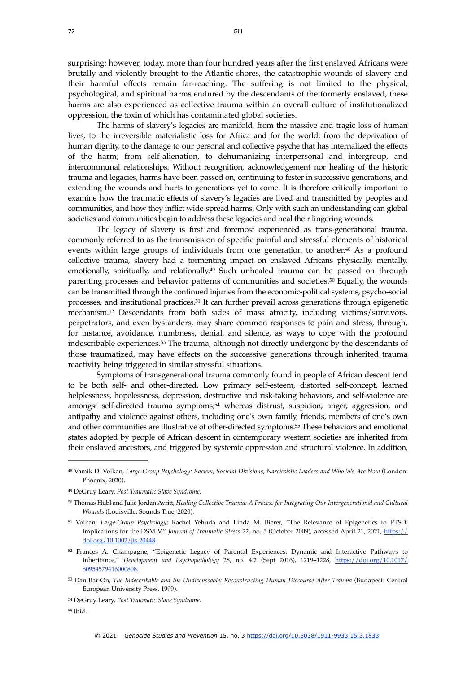<span id="page-7-15"></span>

<span id="page-7-7"></span> $55$  Ibid.

The harms of slavery's legacies are manifold, from the massive and tragic loss of human lives, to the irreversible materialistic loss for Africa and for the world; from the deprivation of human dignity, to the damage to our personal and collective psyche that has internalized the effects of the harm; from self-alienation, to dehumanizing interpersonal and intergroup, and intercommunal relationships. Without recognition, acknowledgement nor healing of the historic trauma and legacies, harms have been passed on, continuing to fester in successive generations, and extending the wounds and hurts to generations yet to come. It is therefore critically important to examine how the traumatic effects of slavery's legacies are lived and transmitted by peoples and communities, and how they inflict wide-spread harms. Only with such an understanding can global societies and communities begin to address these legacies and heal their lingering wounds.

<span id="page-7-11"></span><span id="page-7-10"></span><span id="page-7-9"></span><span id="page-7-8"></span>The legacy of slavery is first and foremost experienced as trans-generational trauma, commonly referred to as the transmission of specific painful and stressful elements of historical events within large groups of individuals from one generation to another.<sup>[48](#page-7-0)</sup> As a profound collective trauma, slavery had a tormenting impact on enslaved Africans physically, mentally, emotionally, spiritually, and relationally.<sup> $49$ </sup> Such unhealed trauma can be passed on through parenting processes and behavior patterns of communities and societies.<sup>[50](#page-7-2)</sup> Equally, the wounds can be transmitted through the continued injuries from the economic-political systems, psycho-social processes, and institutional practices.<sup>[51](#page-7-3)</sup> It can further prevail across generations through epigenetic mechanism.<sup>[52](#page-7-4)</sup> Descendants from both sides of mass atrocity, including victims/survivors, perpetrators, and even bystanders, may share common responses to pain and stress, through, for instance, avoidance, numbness, denial, and silence, as ways to cope with the profound indescribable experiences.<sup>[53](#page-7-5)</sup> The trauma, although not directly undergone by the descendants of those traumatized, may have effects on the successive generations through inherited trauma reactivity being triggered in similar stressful situations.

<span id="page-7-14"></span><span id="page-7-13"></span><span id="page-7-12"></span>Symptoms of transgenerational trauma commonly found in people of African descent tend to be both self- and other-directed. Low primary self-esteem, distorted self-concept, learned helplessness, hopelessness, depression, destructive and risk-taking behaviors, and self-violence are amongstself-directed trauma symptoms;<sup>[54](#page-7-6)</sup> whereas distrust, suspicion, anger, aggression, and antipathy and violence against others, including one's own family, friends, members of one's own and other communities are illustrative of other-directed symptoms[.](#page-7-7)<sup>[55](#page-7-7)</sup> These behaviors and emotional states adopted by people of African descent in contemporary western societies are inherited from their enslaved ancestors, and triggered by systemic oppression and structural violence. In addition,

<span id="page-7-6"></span>DeGruy Leary, *Post Traumatic Slave Syndrome*. [54](#page-7-14)

<span id="page-7-0"></span>Vamik D. Volkan, *Large-Group Psychology: Racism, Societal Divisions, Narcissistic Leaders and Who We Are Now* (London: [48](#page-7-8) Phoenix, 2020).

<span id="page-7-1"></span>DeGruy Leary, *Post Traumatic Slave Syndrome*. [49](#page-7-9)

<span id="page-7-2"></span>Thomas Hübl and Julie Jordan Avritt, *Healing Collective Trauma: A Process for Integrating Our Intergenerational and Cultural* [50](#page-7-10) *Wounds* (Louisville: Sounds True, 2020).

<span id="page-7-3"></span><sup>&</sup>lt;sup>[51](#page-7-11)</sup> Volkan, *Large-Group Psychology*; Rachel Yehuda and Linda M. Bierer, "The Relevance of Epigenetics to PTSD: Implications for the DSM-V," *Journal of Traumatic Stress* 22, no. 5 (October 2009), accessed April 21, 2021, [https://](https://doi.org/10.1002/jts.20448) [doi.org/10.1002/jts.20448](https://doi.org/10.1002/jts.20448).

<span id="page-7-4"></span><sup>&</sup>lt;sup>[52](#page-7-12)</sup> Frances A. Champagne, "Epigenetic Legacy of Parental Experiences: Dynamic and Interactive Pathways to Inheritance," *Development and Psychopathology* 28, no. 4.2 (Sept 2016), 1219–1228, [https://doi.org/10.1017/](https://doi.org/10.1017/S0954579416000808%22%20%5Ct%20%22_blank) [S0954579416000808](https://doi.org/10.1017/S0954579416000808%22%20%5Ct%20%22_blank).

<span id="page-7-5"></span>[<sup>53</sup>](#page-7-13) Dan Bar-On, *The Indescribable and the Undiscussable: Reconstructing Human Discourse After Trauma* (Budapest: Central European University Press, 1999).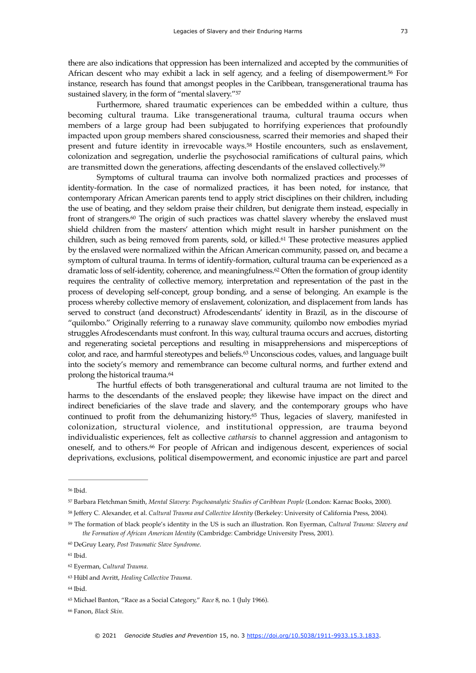<span id="page-8-11"></span>there are also indications that oppression has been internalized and accepted by the communities of African descent who may exhibit a lack in self agency, and a feeling of disempowerment.<sup>[56](#page-8-0)</sup> For instance, research has found that amongst peoples in the Caribbean, transgenerational trauma has sustained slavery, in the form of "mental slavery."[57](#page-8-1)

<span id="page-8-12"></span>Furthermore, shared traumatic experiences can be embedded within a culture, thus becoming cultural trauma. Like transgenerational trauma, cultural trauma occurs when members of a large group had been subjugated to horrifying experiences that profoundly impacted upon group members shared consciousness, scarred their memories and shaped their present and future identity in irrevocable ways.<sup>[58](#page-8-2)</sup> Hostile encounters, such as enslavement, colonization and segregation, underlie the psychosocial ramifications of cultural pains, which are transmitted down the generations, affecting descendants of the enslaved collectively.<sup>[59](#page-8-3)</sup>

<span id="page-8-17"></span><span id="page-8-16"></span><span id="page-8-15"></span><span id="page-8-14"></span><span id="page-8-13"></span>Symptoms of cultural trauma can involve both normalized practices and processes of identity-formation. In the case of normalized practices, it has been noted, for instance, that contemporary African American parents tend to apply strict disciplines on their children, including the use of beating, and they seldom praise their children, but denigrate them instead, especially in front of strangers. $60$  The origin of such practices was chattel slavery whereby the enslaved must shield children from the masters' attention which might result in harsher punishment on the children, such as being removed from parents, sold, or killed.<sup>[61](#page-8-5)</sup> These protective measures applied by the enslaved were normalized within the African American community, passed on, and became a symptom of cultural trauma. In terms of identify-formation, cultural trauma can be experienced as a dramatic loss of self-identity, coherence, and meaningfulness.<sup>[62](#page-8-6)</sup> Often the formation of group identity requires the centrality of collective memory, interpretation and representation of the past in the process of developing self-concept, group bonding, and a sense of belonging. An example is the process whereby collective memory of enslavement, colonization, and displacement from lands has served to construct (and deconstruct) Afrodescendants' identity in Brazil, as in the discourse of "quilombo." Originally referring to a runaway slave community, quilombo now embodies myriad struggles Afrodescendants must confront. In this way, cultural trauma occurs and accrues, distorting and regenerating societal perceptions and resulting in misapprehensions and misperceptions of color, and race, and harmful stereotypes and beliefs.<sup>[63](#page-8-7)</sup> Unconscious codes, values, and language built into the society's memory and remembrance can become cultural norms, and further extend and prolong the historical trauma.[64](#page-8-8)

<span id="page-8-20"></span><span id="page-8-19"></span><span id="page-8-18"></span>The hurtful effects of both transgenerational and cultural trauma are not limited to the harms to the descendants of the enslaved people; they likewise have impact on the direct and indirect beneficiaries of the slave trade and slavery, and the contemporary groups who have continued to profit from the dehumanizing history.<sup>[65](#page-8-9)</sup> Thus, legacies of slavery, manifested in colonization, structural violence, and institutional oppression, are trauma beyond individualistic experiences, felt as collective *catharsis* to channel aggression and antagonism to oneself, and to others.<sup>[66](#page-8-10)</sup> For people of African and indigenous descent, experiences of social deprivations, exclusions, political disempowerment, and economic injustice are part and parcel

<span id="page-8-21"></span><span id="page-8-0"></span><sup>&</sup>lt;sup>[56](#page-8-11)</sup> Ibid.

<span id="page-8-1"></span><sup>&</sup>lt;sup>[57](#page-8-12)</sup> Barbara Fletchman Smith, *Mental Slavery: Psychoanalytic Studies of Caribbean People* (London: Karnac Books, 2000).

<span id="page-8-2"></span><sup>&</sup>lt;sup>[58](#page-8-13)</sup> Jeffery C. Alexander, et al. *Cultural Trauma and Collective Identity* (Berkeley: University of California Press, 2004).

<span id="page-8-3"></span>The formation of black people's identity in the US is such an illustration. Ron Eyerman, *Cultural Trauma: Slavery and* [59](#page-8-14) *the Formation of African American Identity* (Cambridge: Cambridge University Press, 2001).

<span id="page-8-4"></span><sup>&</sup>lt;sup>[60](#page-8-15)</sup> DeGruy Leary, Post Traumatic Slave Syndrome.

<span id="page-8-5"></span><sup>&</sup>lt;sup>[61](#page-8-16)</sup> Ibid.

<span id="page-8-6"></span>Eyerman, *Cultural Trauma*. [62](#page-8-17)

<span id="page-8-7"></span>Hübl and Avritt, *Healing Collective Trauma*. [63](#page-8-18)

<span id="page-8-8"></span> $64$  Ibid.

<span id="page-8-9"></span><sup>&</sup>lt;sup>[65](#page-8-20)</sup> Michael Banton, "Race as a Social Category," *Race* 8, no. 1 (July 1966).

<span id="page-8-10"></span>Fanon, *Black Skin*. [66](#page-8-21)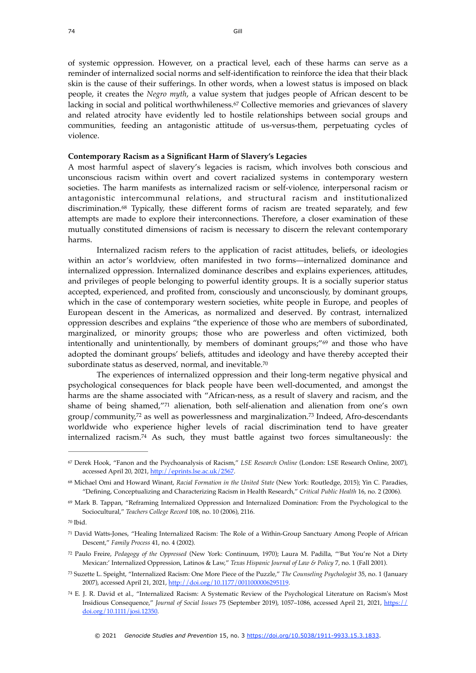74 Gill

<span id="page-9-8"></span>of systemic oppression. However, on a practical level, each of these harms can serve as a reminder of internalized social norms and self-identification to reinforce the idea that their black skin is the cause of their sufferings. In other words, when a lowest status is imposed on black people, it creates the *Negro myth*, a value system that judges people of African descent to be lacking in social and political worthwhileness.<sup>[67](#page-9-0)</sup> Collective memories and grievances of slavery and related atrocity have evidently led to hostile relationships between social groups and communities, feeding an antagonistic attitude of us-versus-them, perpetuating cycles of violence.

#### **Contemporary Racism as a Significant Harm of Slavery's Legacies**

<span id="page-9-9"></span>A most harmful aspect of slavery's legacies is racism, which involves both conscious and unconscious racism within overt and covert racialized systems in contemporary western societies. The harm manifests as internalized racism or self-violence, interpersonal racism or antagonistic intercommunal relations, and structural racism and institutionalized discrimination. $68$  Typically, these different forms of racism are treated separately, and few attempts are made to explore their interconnections. Therefore, a closer examination of these mutually constituted dimensions of racism is necessary to discern the relevant contemporary harms.

Internalized racism refers to the application of racist attitudes, beliefs, or ideologies within an actor's worldview, often manifested in two forms—internalized dominance and internalized oppression. Internalized dominance describes and explains experiences, attitudes, and privileges of people belonging to powerful identity groups. It is a socially superior status accepted, experienced, and profited from, consciously and unconsciously, by dominant groups, which in the case of contemporary western societies, white people in Europe, and peoples of European descent in the Americas, as normalized and deserved. By contrast, internalized oppression describes and explains "the experience of those who are members of subordinated, marginalized, or minority groups; those who are powerless and often victimized, both intentionally and unintentionally, by members of dominant groups;["](#page-9-2) $69$  and those who have adopted the dominant groups' beliefs, attitudes and ideology and have thereby accepted their subordinate status as deserved, normal, and inevitable.<sup>[70](#page-9-3)</sup>

<span id="page-9-14"></span><span id="page-9-13"></span><span id="page-9-12"></span><span id="page-9-11"></span><span id="page-9-10"></span>The experiences of internalized oppression and their long-term negative physical and psychological consequences for black people have been well-documented, and amongst the harms are the shame associated with "African-ness, as a result of slavery and racism, and the shameof being shamed," $71$  alienation, both self-alienation and alienation from one's own  $group/community<sup>72</sup>$  $group/community<sup>72</sup>$  $group/community<sup>72</sup>$  as well as powerlessness and marginalization.<sup>73</sup> Indeed[,](#page-9-5) Afro-descendants worldwide who experience higher levels of racial discrimination tend to have greater internalized racism.<sup>[74](#page-9-7)</sup> As such, they must battle against two forces simultaneously: the

<span id="page-9-5"></span> Paulo Freire, *Pedagogy of the Oppressed* (New York: Continuum, 1970); Laura M. Padilla, "'But You're Not a Dirty [72](#page-9-13) Mexican:' Internalized Oppression, Latinos & Law," *Texas Hispanic Journal of Law & Policy* 7, no. 1 (Fall 2001).

<span id="page-9-7"></span> E. J. R. David et al., "Internalized Racism: A Systematic Review of the Psychological Literature on Racism's Most [74](#page-9-15) Insidious Consequence," *Journal of Social Issues* 75 (September 2019), 1057–1086, accessed April 21, 2021, [https://](https://doi.org/10.1111/josi.12350) [doi.org/10.1111/josi.12350.](https://doi.org/10.1111/josi.12350)

<span id="page-9-15"></span><span id="page-9-0"></span>Derek Hook, "Fanon and the Psychoanalysis of Racism," *LSE Research Online* (London: LSE Research Online, 2007), [67](#page-9-8) accessed April 20, 2021, [http://eprints.lse.ac.uk/2567.](http://eprints.lse.ac.uk/2567)

<span id="page-9-1"></span><sup>&</sup>lt;sup>[68](#page-9-9)</sup> Michael Omi and Howard Winant, *Racial Formation in the United State* (New York: Routledge, 2015); Yin C. Paradies, "Defining, Conceptualizing and Characterizing Racism in Health Research," *Critical Public Health* 16, no. 2 (2006).

<span id="page-9-2"></span><sup>&</sup>lt;sup>[69](#page-9-10)</sup> Mark B. Tappan, "Reframing Internalized Oppression and Internalized Domination: From the Psychological to the Sociocultural," *Teachers College Record* 108, no. 10 (2006), 2116.

<span id="page-9-3"></span>[<sup>70</sup>](#page-9-11) Ibid.

<span id="page-9-4"></span>David Watts-Jones, "Healing Internalized Racism: The Role of a Within-Group Sanctuary Among People of African [71](#page-9-12) Descent," *Family Process* 41, no. 4 (2002).

<span id="page-9-6"></span>Suzette L. Speight, "Internalized Racism: One More Piece of the Puzzle," *The Counseling Psychologist* 35, no. 1 (January [73](#page-9-14) 2007), accessed April 21, 2021, <http://doi.org/10.1177/0011000006295119>.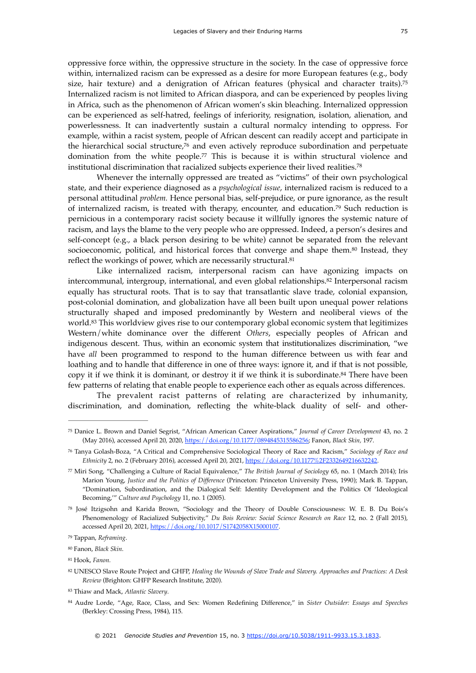<span id="page-10-10"></span>oppressive force within, the oppressive structure in the society. In the case of oppressive force within, internalized racism can be expressed as a desire for more European features (e.g., body size, hair texture) and a denigration of African features (physical and character traits).<sup>[75](#page-10-0)</sup> Internalized racism is not limited to African diaspora, and can be experienced by peoples living in Africa, such as the phenomenon of African women's skin bleaching. Internalized oppression can be experienced as self-hatred, feelings of inferiority, resignation, isolation, alienation, and powerlessness. It can inadvertently sustain a cultural normalcy intending to oppress. For example, within a racist system, people of African descent can readily accept and participate in the hierarchical social structure, $76$  and even actively reproduce subordination and perpetuate domination from the white people.<sup> $77$ </sup> This is because it is within structural violence and institutional discrimination that racialized subjects experience their lived realities[.78](#page-10-3)

<span id="page-10-14"></span><span id="page-10-13"></span><span id="page-10-12"></span><span id="page-10-11"></span>Whenever the internally oppressed are treated as "victims" of their own psychological state, and their experience diagnosed as a *psychological issue*, internalized racism is reduced to a personal attitudinal *problem.* Hence personal bias, self-prejudice, or pure ignorance, as the result ofinternalized racism, is treated with therapy, encounter, and education.<sup>[79](#page-10-4)</sup> Such reduction is pernicious in a contemporary racist society because it willfully ignores the systemic nature of racism, and lays the blame to the very people who are oppressed. Indeed, a person's desires and self-concept (e.g., a black person desiring to be white) cannot be separated from the relevant socioeconomic, political, and historical forces that converge and shape them.<sup>[80](#page-10-5)</sup> Instead, they reflect the workings of power, which are necessarily structural.<sup>81</sup>

<span id="page-10-18"></span><span id="page-10-17"></span><span id="page-10-16"></span><span id="page-10-15"></span>Like internalized racism, interpersonal racism can have agonizing impacts on intercommunal, intergroup, international, and even global relationships. $82$  Interpersonal racism equally has structural roots. That is to say that transatlantic slave trade, colonial expansion, post-colonial domination, and globalization have all been built upon unequal power relations structurally shaped and imposed predominantly by Western and neoliberal views of the world.<sup>[83](#page-10-8)</sup> This worldview gives rise to our contemporary global economic system that legitimizes Western/white dominance over the different *Others*, especially peoples of African and indigenous descent. Thus, within an economic system that institutionalizes discrimination, "we have *all* been programmed to respond to the human difference between us with fear and loathing and to handle that difference in one of three ways: ignore it, and if that is not possible, copy it if we think it is dominant, or destroy it if we think it is subordinate[.](#page-10-9)<sup>[84](#page-10-9)</sup> There have been few patterns of relating that enable people to experience each other as equals across differences.

<span id="page-10-19"></span>The prevalent racist patterns of relating are characterized by inhumanity, discrimination, and domination, reflecting the white-black duality of self- and other-

<span id="page-10-6"></span>Hook, *Fanon.* [81](#page-10-16)

<span id="page-10-8"></span><sup>[83](#page-10-18)</sup> Thiaw and Mack, Atlantic Slavery.

<span id="page-10-0"></span>Danice L. Brown and Daniel Segrist, "African American Career Aspirations," *Journal of Career Development* 43, no. 2 [75](#page-10-10) (May 2016), accessed April 20, 2020, [https://doi.org/10.1177/0894845315586256;](https://doi.org/10.1177/0894845315586256) Fanon, *Black Skin,* 197.

<span id="page-10-1"></span>Tanya Golash-Boza, "A Critical and Comprehensive Sociological Theory of Race and Racism," *Sociology of Race and* [76](#page-10-11) *Ethnicity* 2, no. 2 (February 2016), accessed April 20, 2021, [https://doi.org/10.1177%2F2332649216632242.](https://doi.org/10.1177%2F2332649216632242)

<span id="page-10-2"></span>Miri Song, "Challenging a Culture of Racial Equivalence," *The British Journal of Sociology* 65, no. 1 (March 2014); Iris [77](#page-10-12) Marion Young, *Justice and the Politics of Difference* (Princeton: Princeton University Press, 1990); Mark B. Tappan, "Domination, Subordination, and the Dialogical Self: Identity Development and the Politics Of 'Ideological Becoming,'" *Culture and Psychology* 11, no. 1 (2005).

<span id="page-10-3"></span>[<sup>78</sup>](#page-10-13) José Itzigsohn and Karida Brown, "Sociology and the Theory of Double Consciousness: W. E. B. Du Bois's Phenomenology of Racialized Subjectivity," *Du Bois Review: Social Science Research on Race* 12, no. 2 (Fall 2015), accessed April 20, 2021, [https://doi.org/10.1017/S1742058X15000107.](https://doi.org/10.1017/S1742058X15000107)

<span id="page-10-4"></span>Tappan, *Reframing*. [79](#page-10-14)

<span id="page-10-5"></span><sup>&</sup>lt;sup>[80](#page-10-15)</sup> Fanon, *Black Skin*.

<span id="page-10-7"></span>[<sup>82</sup>](#page-10-17) UNESCO Slave Route Project and GHFP, *Healing the Wounds of Slave Trade and Slavery. Approaches and Practices: A Desk Review* (Brighton: GHFP Research Institute, 2020).

<span id="page-10-9"></span>Audre Lorde, "Age, Race, Class, and Sex: Women Redefining Difference," in *Sister Outsider: Essays and Speeches* [84](#page-10-19) (Berkley: Crossing Press, 1984), 115.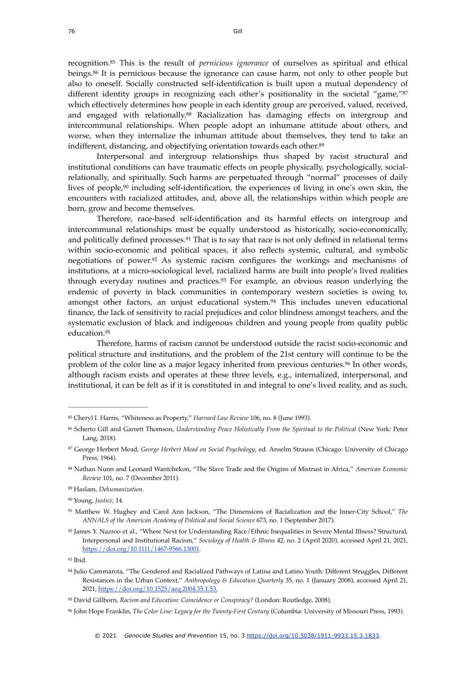<span id="page-11-14"></span><span id="page-11-13"></span><span id="page-11-12"></span>recognition.<sup>85</sup> This is the result of *pernicious ignorance* of ourselves as spiritual and ethical beings[.](#page-11-1)<sup>[86](#page-11-1)</sup> It is pernicious because the ignorance can cause harm, not only to other people but also to oneself. Socially constructed self-identification is built upon a mutual dependency of different identity groups in recognizing each other's positionality in the societal "game,"[87](#page-11-2) which effectively determines how people in each identity group are perceived, valued, received, andengaged with relationally.<sup>[88](#page-11-3)</sup> Racialization has damaging effects on intergroup and intercommunal relationships. When people adopt an inhumane attitude about others, and worse, when they internalize the inhuman attitude about themselves, they tend to take an indifferent, distancing, and objectifying orientation towards each other.<sup>89</sup>

<span id="page-11-17"></span><span id="page-11-16"></span><span id="page-11-15"></span>Interpersonal and intergroup relationships thus shaped by racist structural and institutional conditions can have traumatic effects on people physically, psychologically, socialrelationally, and spiritually. Such harms are perpetuated through "normal" processes of daily lives of people, $90$  including self-identification[,](#page-11-5) the experiences of living in one's own skin, the encounters with racialized attitudes, and, above all, the relationships within which people are born, grow and become themselves.

<span id="page-11-20"></span><span id="page-11-19"></span><span id="page-11-18"></span>Therefore, race-based self-identification and its harmful effects on intergroup and intercommunal relationships must be equally understood as historically, socio-economically, and politically defined processes.<sup>[91](#page-11-6)</sup> That is to say that race is not only defined in relational terms within socio-economic and political spaces, it also reflects systemic, cultural, and symbolic negotiations of power. $92$  As systemic racism configures the workings and mechanisms of institutions, at a micro-sociological level, racialized harms are built into people's lived realities through everyday routines and practices.<sup>[93](#page-11-8)</sup> For example, an obvious reason underlying the endemic of poverty in black communities in contemporary western societies is owing to, amongst other factors, an unjust educational system. $94$  This includes uneven educational finance, the lack of sensitivity to racial prejudices and color blindness amongst teachers, and the systematic exclusion of black and indigenous children and young people from quality public education[.95](#page-11-10)

<span id="page-11-23"></span><span id="page-11-22"></span><span id="page-11-21"></span>Therefore, harms of racism cannot be understood outside the racist socio-economic and political structure and institutions, and the problem of the 21st century will continue to be the problem of the color line as a major legacy inherited from previous centuries.<sup>[96](#page-11-11)</sup> In other words, although racism exists and operates at these three levels, e.g., internalized, interpersonal, and institutional, it can be felt as if it is constituted in and integral to one's lived reality, and as such,

<span id="page-11-0"></span><sup>&</sup>lt;sup>[85](#page-11-12)</sup> Cheryl I. Harris, "Whiteness as Property," *Harvard Law Review* 106, no. 8 (June 1993).

<span id="page-11-1"></span>Scherto Gill and Garrett Thomson, *Understanding Peace Holistically From the Spiritual to the Political* (New York: Peter [86](#page-11-13) Lang, 2018).

<span id="page-11-2"></span><sup>&</sup>lt;sup>[87](#page-11-14)</sup> George Herbert Mead, George Herbert Mead on Social Psychology, ed. Anselm Strauss (Chicago: University of Chicago Press, 1964).

<span id="page-11-3"></span>Nathan Nunn and Leonard Wantchekon, "The Slave Trade and the Origins of Mistrust in Africa," *American Economic* [88](#page-11-15) *Review* 101, no. 7 (December 2011).

<span id="page-11-4"></span>Haslam, *Dehumanization*. [89](#page-11-16)

<span id="page-11-5"></span><sup>&</sup>lt;sup>[90](#page-11-17)</sup> Young, Justice, 14.

<span id="page-11-6"></span>Matthew W. Hughey and Carol Ann Jackson, "The Dimensions of Racialization and the Inner-City School," *The* [91](#page-11-18) *ANNALS of the American Academy of Political and Social Science* 673, no. 1 (September 2017).

<span id="page-11-7"></span><sup>&</sup>lt;sup>[92](#page-11-19)</sup> James Y. Nazroo et al., "Where Next for Understanding Race/Ethnic Inequalities in Severe Mental Illness? Structural, Interpersonal and Institutional Racism," *Sociology of Health & Illness* 42, no. 2 (April 2020), accessed April 21, 2021, <https://doi.org/10.1111/1467-9566.13001>.

<span id="page-11-8"></span> $93$  Ibid.

<span id="page-11-9"></span>[<sup>94</sup>](#page-11-21) Julio Cammarota, "The Gendered and Racialized Pathways of Latina and Latino Youth: Different Struggles, Different Resistances in the Urban Context," *Anthropology & Education Quarterly* 35, no. 1 (January 2008), accessed April 21, 2021,<https://doi.org/10.1525/aeq.2004.35.1.53>.

<span id="page-11-10"></span><sup>&</sup>lt;sup>[95](#page-11-22)</sup> David Gillborn, *Racism and Education: Coincidence or Conspiracy?* (London: Routledge, 2008).

<span id="page-11-11"></span>John Hope Franklin, *The Color Line: Legacy for the Twenty-First Century* (Columbia: University of Missouri Press, 1993). [96](#page-11-23)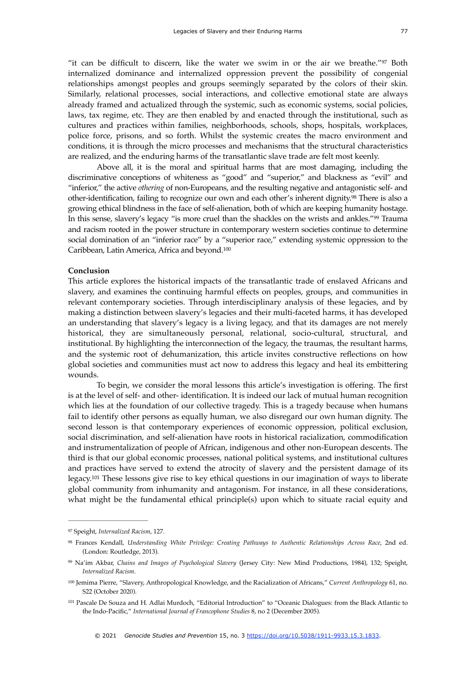<span id="page-12-5"></span>"it can be difficult to discern, like the water we swim in or the air we breathe." $97$  Both internalized dominance and internalized oppression prevent the possibility of congenial relationships amongst peoples and groups seemingly separated by the colors of their skin. Similarly, relational processes, social interactions, and collective emotional state are always already framed and actualized through the systemic, such as economic systems, social policies, laws, tax regime, etc. They are then enabled by and enacted through the institutional, such as cultures and practices within families, neighborhoods, schools, shops, hospitals, workplaces, police force, prisons, and so forth. Whilst the systemic creates the macro environment and conditions, it is through the micro processes and mechanisms that the structural characteristics are realized, and the enduring harms of the transatlantic slave trade are felt most keenly.

<span id="page-12-7"></span><span id="page-12-6"></span>Above all, it is the moral and spiritual harms that are most damaging, including the discriminative conceptions of whiteness as "good" and "superior," and blackness as "evil" and "inferior," the active *othering* of non-Europeans, and the resulting negative and antagonistic self- and other-identification,failing to recognize our own and each other's inherent dignity.<sup>[98](#page-12-1)</sup> There is also a growing ethical blindness in the face of self-alienation, both of which are keeping humanity hostage. In this sense, slavery's legacy "is more cruel than the shackles on the wrists and ankles."<sup>[99](#page-12-2)</sup> Trauma and racism rooted in the power structure in contemporary western societies continue to determine social domination of an "inferior race" by a "superior race," extending systemic oppression to the Caribbean, Latin America, Africa and beyond[.100](#page-12-3)

#### <span id="page-12-8"></span>**Conclusion**

This article explores the historical impacts of the transatlantic trade of enslaved Africans and slavery, and examines the continuing harmful effects on peoples, groups, and communities in relevant contemporary societies. Through interdisciplinary analysis of these legacies, and by making a distinction between slavery's legacies and their multi-faceted harms, it has developed an understanding that slavery's legacy is a living legacy, and that its damages are not merely historical, they are simultaneously personal, relational, socio-cultural, structural, and institutional. By highlighting the interconnection of the legacy, the traumas, the resultant harms, and the systemic root of dehumanization, this article invites constructive reflections on how global societies and communities must act now to address this legacy and heal its embittering wounds.

To begin, we consider the moral lessons this article's investigation is offering. The first is at the level of self- and other- identification. It is indeed our lack of mutual human recognition which lies at the foundation of our collective tragedy. This is a tragedy because when humans fail to identify other persons as equally human, we also disregard our own human dignity. The second lesson is that contemporary experiences of economic oppression, political exclusion, social discrimination, and self-alienation have roots in historical racialization, commodification and instrumentalization of people of African, indigenous and other non-European descents. The third is that our global economic processes, national political systems, and institutional cultures and practices have served to extend the atrocity of slavery and the persistent damage of its legacy.<sup>101</sup>These lessons give rise to key ethical questions in our imagination of ways to liberate global community from inhumanity and antagonism. For instance, in all these considerations, what might be the fundamental ethical principle(s) upon which to situate racial equity and

<span id="page-12-9"></span><span id="page-12-0"></span>[<sup>97</sup>](#page-12-5) Speight, *Internalized Racism*, 127.

<span id="page-12-1"></span>Frances Kendall, *Understanding White Privilege: Creating Pathways to Authentic Relationships Across Race*, 2nd ed. [98](#page-12-6) (London: Routledge, 2013).

<span id="page-12-2"></span>Na'im Akbar, *Chains and Images of Psychological Slavery* (Jersey City: New Mind Productions, 1984), 132; Speight, [99](#page-12-7) *Internalized Racism*.

<span id="page-12-3"></span><sup>&</sup>lt;sup>[100](#page-12-8)</sup> Jemima Pierre, "Slavery, Anthropological Knowledge, and the Racialization of Africans," *Current Anthropology* 61, no. S22 (October 2020).

<span id="page-12-4"></span><sup>&</sup>lt;sup>[101](#page-12-9)</sup> Pascale De Souza and H. Adlai Murdoch, "Editorial Introduction" to "Oceanic Dialogues: from the Black Atlantic to the Indo-Pacific," *International Journal of Francophone Studies* 8, no 2 (December 2005).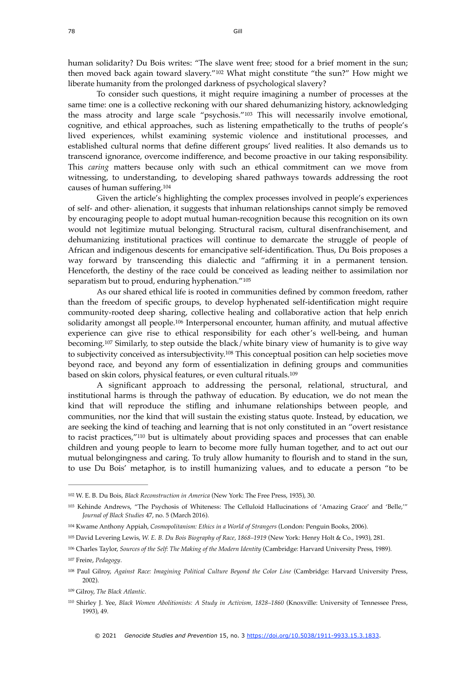<span id="page-13-9"></span>human solidarity? Du Bois writes: "The slave went free; stood for a brief moment in the sun; thenmoved back again toward slavery."<sup>[102](#page-13-0)</sup> What might constitute "the sun?" How might we liberate humanity from the prolonged darkness of psychological slavery?

<span id="page-13-10"></span>To consider such questions, it might require imagining a number of processes at the same time: one is a collective reckoning with our shared dehumanizing history, acknowledging themass atrocity and large scale "psychosis."<sup>[103](#page-13-1)</sup> This will necessarily involve emotional, cognitive, and ethical approaches, such as listening empathetically to the truths of people's lived experiences, whilst examining systemic violence and institutional processes, and established cultural norms that define different groups' lived realities. It also demands us to transcend ignorance, overcome indifference, and become proactive in our taking responsibility. This *caring* matters because only with such an ethical commitment can we move from witnessing, to understanding, to developing shared pathways towards addressing the root causes of human suffering.[104](#page-13-2)

<span id="page-13-11"></span>Given the article's highlighting the complex processes involved in people's experiences of self- and other- alienation, it suggests that inhuman relationships cannot simply be removed by encouraging people to adopt mutual human-recognition because this recognition on its own would not legitimize mutual belonging. Structural racism, cultural disenfranchisement, and dehumanizing institutional practices will continue to demarcate the struggle of people of African and indigenous descents for emancipative self-identification. Thus, Du Bois proposes a way forward by transcending this dialectic and "affirming it in a permanent tension. Henceforth, the destiny of the race could be conceived as leading neither to assimilation nor separatism but to proud, enduring hyphenation."<sup>[105](#page-13-3)</sup>

<span id="page-13-13"></span><span id="page-13-12"></span>As our shared ethical life is rooted in communities defined by common freedom, rather than the freedom of specific groups, to develop hyphenated self-identification might require community-rooted deep sharing, collective healing and collaborative action that help enrich solidarity amongst all people[.](#page-13-4)<sup>[106](#page-13-4)</sup> Interpersonal encounter, human affinity, and mutual affective experience can give rise to ethical responsibility for each other's well-being, and human becoming.<sup>107</sup>Similarly, to step outside the black/white binary view of humanity is to give way tosubjectivity conceived as intersubjectivity.<sup>[108](#page-13-6)</sup> This conceptual position can help societies move beyond race, and beyond any form of essentialization in defining groups and communities based on skin colors, physical features, or even cultural rituals[.109](#page-13-7)

<span id="page-13-17"></span><span id="page-13-16"></span><span id="page-13-15"></span><span id="page-13-14"></span>A significant approach to addressing the personal, relational, structural, and institutional harms is through the pathway of education. By education, we do not mean the kind that will reproduce the stifling and inhumane relationships between people, and communities, nor the kind that will sustain the existing status quote. Instead, by education, we are seeking the kind of teaching and learning that is not only constituted in an "overt resistance toracist practices," $110$  but is ultimately about providing spaces and processes that can enable children and young people to learn to become more fully human together, and to act out our mutual belongingness and caring. To truly allow humanity to flourish and to stand in the sun, to use Du Bois' metaphor, is to instill humanizing values, and to educate a person "to be

<span id="page-13-0"></span><sup>&</sup>lt;sup>[102](#page-13-9)</sup> W. E. B. Du Bois, *Black Reconstruction in America* (New York: The Free Press, 1935), 30.

<span id="page-13-1"></span>[<sup>103</sup>](#page-13-10) Kehinde Andrews, "The Psychosis of Whiteness: The Celluloid Hallucinations of 'Amazing Grace' and 'Belle," *Journal of Black Studies* 47, no. 5 (March 2016).

<span id="page-13-2"></span><sup>&</sup>lt;sup>[104](#page-13-11)</sup> Kwame Anthony Appiah, *Cosmopolitanism: Ethics in a World of Strangers* (London: Penguin Books, 2006).

<span id="page-13-3"></span><sup>&</sup>lt;sup>[105](#page-13-12)</sup> David Levering Lewis, *W. E. B. Du Bois Biography of Race*, 1868-1919 (New York: Henry Holt & Co., 1993), 281.

<span id="page-13-4"></span><sup>&</sup>lt;sup>[106](#page-13-13)</sup> Charles Taylor, *Sources of the Self: The Making of the Modern Identity* (Cambridge: Harvard University Press, 1989).

<span id="page-13-5"></span>Freire, *Pedagogy*. [107](#page-13-14)

<span id="page-13-6"></span><sup>&</sup>lt;sup>[108](#page-13-15)</sup> Paul Gilroy, *Against Race: Imagining Political Culture Beyond the Color Line* (Cambridge: Harvard University Press, 2002).

<span id="page-13-7"></span><sup>&</sup>lt;sup>[109](#page-13-16)</sup> Gilroy, *The Black Atlantic*.

<span id="page-13-8"></span>[<sup>110</sup>](#page-13-17) Shirley J. Yee, *Black Women Abolitionists: A Study in Activism, 1828–1860* (Knoxville: University of Tennessee Press, 1993), 49.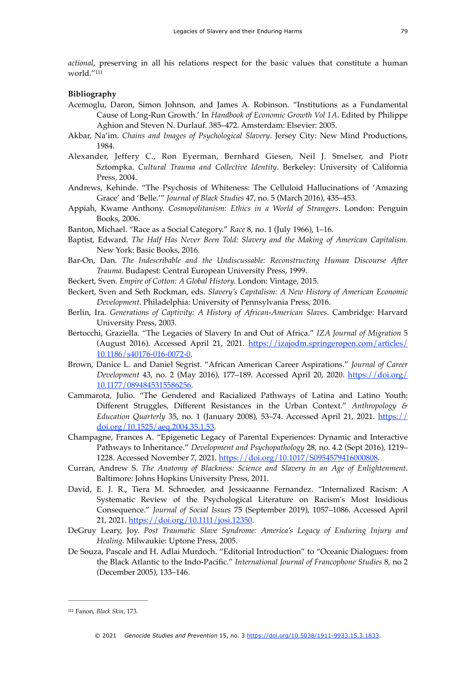<span id="page-14-1"></span>*actional*, preserving in all his relations respect for the basic values that constitute a human world.["111](#page-14-0)

#### **Bibliography**

- Acemoglu, Daron, Simon Johnson, and James A. Robinson. "Institutions as a Fundamental Cause of Long-Run Growth.' In *Handbook of Economic Growth Vol 1A*. Edited by Philippe Aghion and Steven N. Durlauf. 385–472. Amsterdam: Elsevier: 2005.
- Akbar, Na'im. *Chains and Images of Psychological Slavery*. Jersey City: New Mind Productions, 1984.
- Alexander, Jeffery C., Ron Eyerman, Bernhard Giesen, Neil J. Smelser, and Piotr Sztompka. *Cultural Trauma and Collective Identity*. Berkeley: University of California Press, 2004.
- Andrews, Kehinde. "The Psychosis of Whiteness: The Celluloid Hallucinations of 'Amazing Grace' and 'Belle.'" *Journal of Black Studies* 47, no. 5 (March 2016), 435–453.
- Appiah, Kwame Anthony. *Cosmopolitanism: Ethics in a World of Strangers*. London: Penguin Books, 2006.
- Banton, Michael. "Race as a Social Category." *Race* 8, no. 1 (July 1966), 1–16.
- Baptist, Edward. *The Half Has Never Been Told: Slavery and the Making of American Capitalism.*  New York: Basic Books, 2016.
- Bar-On, Dan. *The Indescribable and the Undiscussable: Reconstructing Human Discourse After Trauma*. Budapest: Central European University Press, 1999.
- Beckert, Sven. *Empire of Cotton: A Global History.* London: Vintage, 2015.
- Beckert, Sven and Seth Rockman, eds. *Slavery's Capitalism: A New History of American Economic Development*. Philadelphia: University of Pennsylvania Press, 2016.
- Berlin, Ira. *Generations of Captivity: A History of African-American Slaves*. Cambridge: Harvard University Press, 2003.
- Bertocchi, Graziella. "The Legacies of Slavery In and Out of Africa." *IZA Journal of Migration* 5 (August 2016). Accessed April 21, 2021. [https://izajodm.springeropen.com/articles/](https://izajodm.springeropen.com/articles/10.1186/s40176-016-0072-0) [10.1186/s40176-016-0072-0](https://izajodm.springeropen.com/articles/10.1186/s40176-016-0072-0).
- Brown, Danice L. and Daniel Segrist. "African American Career Aspirations." *Journal of Career Development* 43, no. 2 (May 2016), 177–189. Accessed April 20, 2020. [https://doi.org/](https://doi) [10.1177/0894845315586256](https://doi).
- Cammarota, Julio. "The Gendered and Racialized Pathways of Latina and Latino Youth: Different Struggles, Different Resistances in the Urban Context." *Anthropology & Education Quarterly* 35, no. 1 (January 2008), 53–74. Accessed April 21, 2021. [https://](https://doi.org/10.1525/aeq.2004.35.1.53) [doi.org/10.1525/aeq.2004.35.1.53.](https://doi.org/10.1525/aeq.2004.35.1.53)
- Champagne, Frances A. "Epigenetic Legacy of Parental Experiences: Dynamic and Interactive Pathways to Inheritance." *Development and Psychopathology* 28, no. 4.2 (Sept 2016), 1219– 1228. Accessed November 7, 2021. [https://doi.org/10.1017/S0954579416000808.](https://doi.org/10.1017/S0954579416000808%22%20%5Ct%20%22_blank)
- Curran, Andrew S. *The Anatomy of Blackness: Science and Slavery in an Age of Enlightenment*. Baltimore: Johns Hopkins University Press, 2011.
- David, E. J. R., Tiera M. Schroeder, and Jessicaanne Fernandez. "Internalized Racism: A Systematic Review of the Psychological Literature on Racism's Most Insidious Consequence." *Journal of Social Issues* 75 (September 2019), 1057–1086. Accessed April 21, 2021. <https://doi.org/10.1111/josi.12350>.
- DeGruy Leary, Joy. *Post Traumatic Slave Syndrome: America's Legacy of Enduring Injury and Healing*. Milwaukie: Uptone Press, 2005.
- De Souza, Pascale and H. Adlai Murdoch. "Editorial Introduction" to "Oceanic Dialogues: from the Black Atlantic to the Indo-Pacific." *International Journal of Francophone Studies* 8, no 2 (December 2005), 133–146.

<span id="page-14-0"></span><sup>&</sup>lt;sup>[111](#page-14-1)</sup> Fanon, *Black Skin*, 173.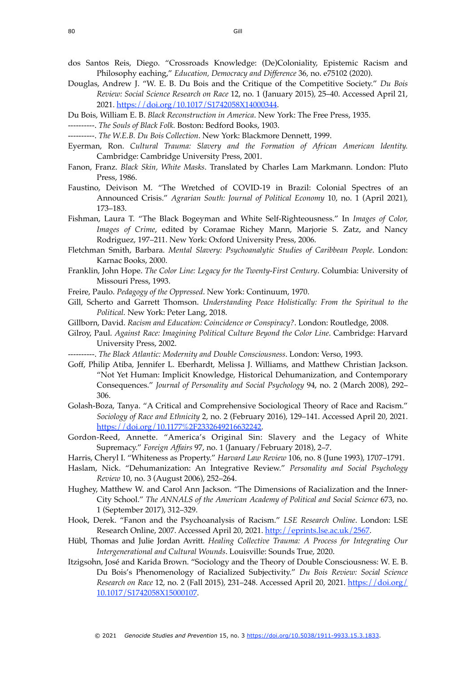- dos Santos Reis, Diego. "Crossroads Knowledge: (De)Coloniality, Epistemic Racism and Philosophy eaching," *Education, Democracy and Difference* 36, no. e75102 (2020).
- Douglas, Andrew J. "W. E. B. Du Bois and the Critique of the Competitive Society." *Du Bois Review: Social Science Research on Race* 12, no. 1 (January 2015), 25–40. Accessed April 21, 2021. [https://doi.org/10.1017/S1742058X14000344.](https://doi.org/10.1017/S1742058X14000344%22%20%5Ct%20%22_blank)
- Du Bois, William E. B. *Black Reconstruction in America*. New York: The Free Press, 1935.
- ----------. *The Souls of Black Folk.* Boston: Bedford Books, 1903.
- ----------. *The W.E.B. Du Bois Collection*. New York: Blackmore Dennett, 1999.
- Eyerman, Ron. *Cultural Trauma: Slavery and the Formation of African American Identity.* Cambridge: Cambridge University Press, 2001.
- Fanon, Franz. *Black Skin, White Masks*. Translated by Charles Lam Markmann. London: Pluto Press, 1986.
- Faustino, Deivison M. "The Wretched of COVID-19 in Brazil: Colonial Spectres of an Announced Crisis." *Agrarian South: Journal of Political Economy* 10, no. 1 (April 2021), 173–183.
- Fishman, Laura T. "The Black Bogeyman and White Self-Righteousness." In *Images of Color, Images of Crime*, edited by Coramae Richey Mann, Marjorie S. Zatz, and Nancy Rodriguez, 197–211. New York: Oxford University Press, 2006.
- Fletchman Smith, Barbara. *Mental Slavery: Psychoanalytic Studies of Caribbean People*. London: Karnac Books, 2000.
- Franklin, John Hope. *The Color Line: Legacy for the Twenty-First Century*. Columbia: University of Missouri Press, 1993.
- Freire, Paulo. *Pedagogy of the Oppressed*. New York: Continuum, 1970.
- Gill, Scherto and Garrett Thomson. *Understanding Peace Holistically: From the Spiritual to the Political.* New York: Peter Lang, 2018.
- Gillborn, David. *Racism and Education: Coincidence or Conspiracy?*. London: Routledge, 2008.
- Gilroy, Paul. *Against Race: Imagining Political Culture Beyond the Color Line*. Cambridge: Harvard University Press, 2002.
- ----------. *The Black Atlantic: Modernity and Double Consciousness*. London: Verso, 1993.
- Goff, Philip Atiba, Jennifer L. Eberhardt, Melissa J. Williams, and Matthew Christian Jackson. "Not Yet Human: Implicit Knowledge, Historical Dehumanization, and Contemporary Consequences." *Journal of Personality and Social Psychology* 94, no. 2 (March 2008), 292– 306.
- Golash-Boza, Tanya. "A Critical and Comprehensive Sociological Theory of Race and Racism." *Sociology of Race and Ethnicity* 2, no. 2 (February 2016), 129–141. Accessed April 20, 2021. [https://doi.org/10.1177%2F2332649216632242.](https://doi.org/10.1177%2F2332649216632242)
- Gordon-Reed, Annette. "America's Original Sin: Slavery and the Legacy of White Supremacy." *Foreign Affairs* 97, no. 1 (January/February 2018), 2–7.
- Harris, Cheryl I. "Whiteness as Property." *Harvard Law Review* 106, no. 8 (June 1993), 1707–1791.
- Haslam, Nick. "Dehumanization: An Integrative Review." *Personality and Social Psychology Review* 10, no. 3 (August 2006), 252–264.
- Hughey, Matthew W. and Carol Ann Jackson. "The Dimensions of Racialization and the Inner-City School." *The ANNALS of the American Academy of Political and Social Science* 673, no. 1 (September 2017), 312–329.
- Hook, Derek. "Fanon and the Psychoanalysis of Racism." *LSE Research Online*. London: LSE Research Online, 2007. Accessed April 20, 2021. <http://eprints.lse.ac.uk/2567>.
- Hübl, Thomas and Julie Jordan Avritt. *Healing Collective Trauma: A Process for Integrating Our Intergenerational and Cultural Wounds*. Louisville: Sounds True, 2020.
- Itzigsohn, José and Karida Brown. "Sociology and the Theory of Double Consciousness: W. E. B. Du Bois's Phenomenology of Racialized Subjectivity." *Du Bois Review: Social Science Research on Race* 12, no. 2 (Fall 2015), 231-248. Accessed April 20, 2021. [https://doi.org/](https://doi.org/10.1017/S1742058X15000107) [10.1017/S1742058X15000107.](https://doi.org/10.1017/S1742058X15000107)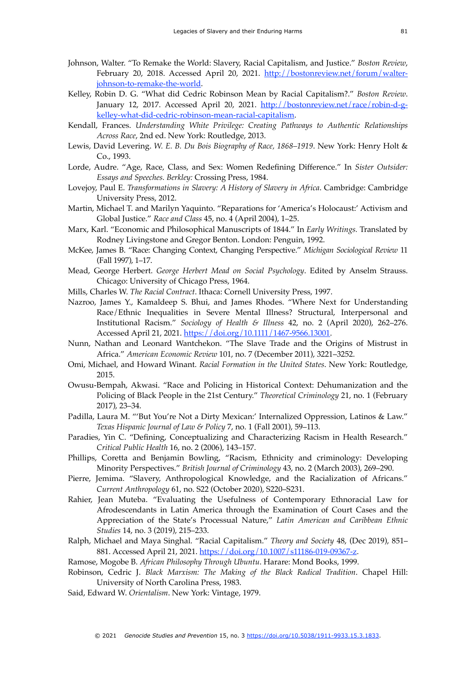- Johnson, Walter. "To Remake the World: Slavery, Racial Capitalism, and Justice." *Boston Review*, February 20, 2018. Accessed April 20, 2021. [http://bostonreview.net/forum/walter](http://bostonreview.net/forum/walter-johnson-to-remake-the-world)[johnson-to-remake-the-world](http://bostonreview.net/forum/walter-johnson-to-remake-the-world).
- Kelley, Robin D. G. "What did Cedric Robinson Mean by Racial Capitalism?." *Boston Review*. [January 12, 2017. Accessed April 20, 2021. http://bostonreview.net/race/robin-d-g](http://bostonreview.net/race/robin-d-g-kelley-what-did-cedric-robinson-mean-racial-capitalism)[kelley-what-did-cedric-robinson-mean-racial-capitalism](http://bostonreview.net/race/robin-d-g-kelley-what-did-cedric-robinson-mean-racial-capitalism).
- Kendall, Frances. *Understanding White Privilege: Creating Pathways to Authentic Relationships Across Race*, 2nd ed. New York: Routledge, 2013.
- Lewis, David Levering. *W. E. B. Du Bois Biography of Race, 1868–1919*. New York: Henry Holt & Co., 1993.
- Lorde, Audre. "Age, Race, Class, and Sex: Women Redefining Difference." In *Sister Outsider: Essays and Speeches. Berkley:* Crossing Press, 1984.
- Lovejoy, Paul E. *Transformations in Slavery: A History of Slavery in Africa*. Cambridge: Cambridge University Press, 2012.
- Martin, Michael T. and Marilyn Yaquinto. "Reparations for 'America's Holocaust:' Activism and Global Justice." *Race and Class* 45, no. 4 (April 2004), 1–25.
- Marx, Karl. "Economic and Philosophical Manuscripts of 1844." In *Early Writings.* Translated by Rodney Livingstone and Gregor Benton. London: Penguin, 1992.
- McKee, James B. "Race: Changing Context, Changing Perspective." *Michigan Sociological Review* 11 (Fall 1997), 1–17.
- Mead, George Herbert. *George Herbert Mead on Social Psychology*. Edited by Anselm Strauss. Chicago: University of Chicago Press, 1964.
- Mills, Charles W. *The Racial Contract*. Ithaca: Cornell University Press, 1997.
- Nazroo, James Y., Kamaldeep S. Bhui, and James Rhodes. "Where Next for Understanding Race/Ethnic Inequalities in Severe Mental Illness? Structural, Interpersonal and Institutional Racism." *Sociology of Health & Illness* 42, no. 2 (April 2020), 262–276. Accessed April 21, 2021. [https://doi.org/10.1111/1467-9566.13001.](https://doi.org/10.1111/1467-9566.13001)
- Nunn, Nathan and Leonard Wantchekon. "The Slave Trade and the Origins of Mistrust in Africa." *American Economic Review* 101, no. 7 (December 2011), 3221–3252.
- Omi, Michael, and Howard Winant. *Racial Formation in the United States*. New York: Routledge, 2015.
- Owusu-Bempah, Akwasi. "Race and Policing in Historical Context: Dehumanization and the Policing of Black People in the 21st Century." *Theoretical Criminology* 21, no. 1 (February 2017), 23–34.
- Padilla, Laura M. "'But You're Not a Dirty Mexican:' Internalized Oppression, Latinos & Law." *Texas Hispanic Journal of Law & Policy* 7, no. 1 (Fall 2001), 59–113.
- Paradies, Yin C. "Defining, Conceptualizing and Characterizing Racism in Health Research." *Critical Public Health* 16, no. 2 (2006), 143–157.
- Phillips, Coretta and Benjamin Bowling, "Racism, Ethnicity and criminology: Developing Minority Perspectives." *British Journal of Criminology* 43, no. 2 (March 2003), 269–290.
- Pierre, Jemima. "Slavery, Anthropological Knowledge, and the Racialization of Africans." *Current Anthropology* 61, no. S22 (October 2020), S220–S231.
- Rahier, Jean Muteba. "Evaluating the Usefulness of Contemporary Ethnoracial Law for Afrodescendants in Latin America through the Examination of Court Cases and the Appreciation of the State's Processual Nature," *Latin American and Caribbean Ethnic Studies* 14, no. 3 (2019), 215–233.
- Ralph, Michael and Maya Singhal. "Racial Capitalism." *Theory and Society* 48, (Dec 2019), 851– 881. Accessed April 21, 2021. <https://doi.org/10.1007/s11186-019-09367-z>.
- Ramose, Mogobe B. *African Philosophy Through Ubuntu*. Harare: Mond Books, 1999.
- Robinson, Cedric J. *Black Marxism: The Making of the Black Radical Tradition*. Chapel Hill: University of North Carolina Press, 1983.
- Said, Edward W. *Orientalism*. New York: Vintage, 1979.